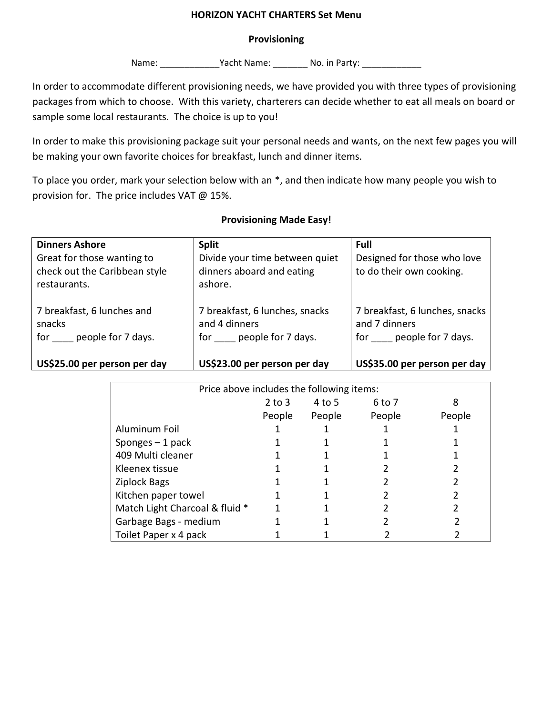#### **HORIZON YACHT CHARTERS Set Menu**

### **Provisioning**

Name: \_\_\_\_\_\_\_\_\_\_\_\_\_\_\_Yacht Name: \_\_\_\_\_\_\_\_\_ No. in Party: \_\_\_\_\_\_\_\_\_\_\_\_\_\_\_

In order to accommodate different provisioning needs, we have provided you with three types of provisioning packages from which to choose. With this variety, charterers can decide whether to eat all meals on board or sample some local restaurants. The choice is up to you!

In order to make this provisioning package suit your personal needs and wants, on the next few pages you will be making your own favorite choices for breakfast, lunch and dinner items.

To place you order, mark your selection below with an \*, and then indicate how many people you wish to provision for. The price includes VAT @ 15%.

| <b>Dinners Ashore</b>                                                       | <b>Split</b>                                                              | Full                                                                      |
|-----------------------------------------------------------------------------|---------------------------------------------------------------------------|---------------------------------------------------------------------------|
| Great for those wanting to<br>check out the Caribbean style<br>restaurants. | Divide your time between quiet<br>dinners aboard and eating<br>ashore.    | Designed for those who love<br>to do their own cooking.                   |
| 7 breakfast, 6 lunches and<br>snacks<br>people for 7 days.<br>for           | 7 breakfast, 6 lunches, snacks<br>and 4 dinners<br>for people for 7 days. | 7 breakfast, 6 lunches, snacks<br>and 7 dinners<br>for people for 7 days. |
| US\$25.00 per person per day                                                | US\$23.00 per person per day                                              | US\$35.00 per person per day                                              |

### **Provisioning Made Easy!**

| Price above includes the following items: |            |        |        |        |  |  |  |  |
|-------------------------------------------|------------|--------|--------|--------|--|--|--|--|
|                                           | $2$ to $3$ | 4 to 5 | 6 to 7 | 8      |  |  |  |  |
|                                           | People     | People | People | People |  |  |  |  |
| Aluminum Foil                             |            |        |        |        |  |  |  |  |
| Sponges $-1$ pack                         |            |        |        |        |  |  |  |  |
| 409 Multi cleaner                         |            |        |        |        |  |  |  |  |
| Kleenex tissue                            |            |        |        |        |  |  |  |  |
| Ziplock Bags                              |            |        |        |        |  |  |  |  |
| Kitchen paper towel                       |            |        |        |        |  |  |  |  |
| Match Light Charcoal & fluid *            |            |        |        |        |  |  |  |  |
| Garbage Bags - medium                     |            |        |        |        |  |  |  |  |
| Toilet Paper x 4 pack                     |            |        |        |        |  |  |  |  |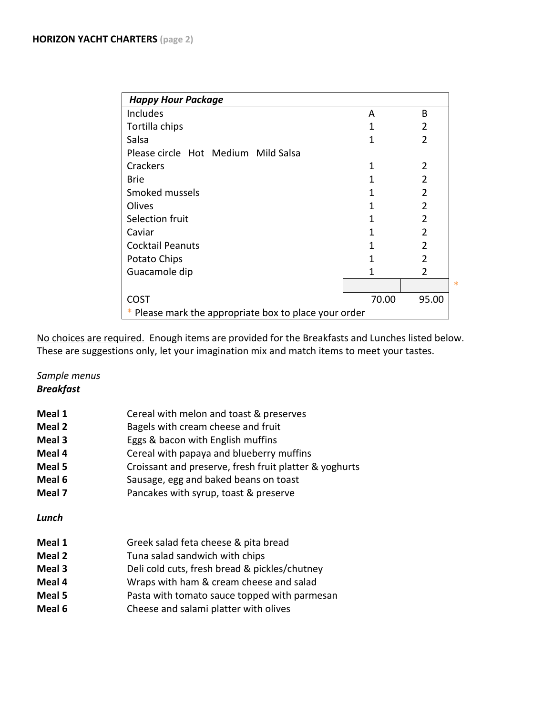| <b>Happy Hour Package</b>                             |              |                |  |  |  |  |
|-------------------------------------------------------|--------------|----------------|--|--|--|--|
| <b>Includes</b>                                       | A            | B              |  |  |  |  |
| Tortilla chips                                        | 1            | $\overline{2}$ |  |  |  |  |
| Salsa                                                 | 1            | $\overline{2}$ |  |  |  |  |
| Please circle Hot Medium Mild Salsa                   |              |                |  |  |  |  |
| Crackers                                              | 1            | $\overline{2}$ |  |  |  |  |
| <b>Brie</b>                                           | 1            | $\overline{2}$ |  |  |  |  |
| Smoked mussels                                        | $\mathbf{1}$ | $\overline{2}$ |  |  |  |  |
| Olives                                                | 1            | $\overline{2}$ |  |  |  |  |
| Selection fruit                                       | 1            | $\overline{2}$ |  |  |  |  |
| Caviar                                                | 1            | $\overline{2}$ |  |  |  |  |
| <b>Cocktail Peanuts</b>                               | 1            | $\overline{2}$ |  |  |  |  |
| Potato Chips                                          | 1            | $\overline{2}$ |  |  |  |  |
| Guacamole dip                                         | 1            | $\overline{2}$ |  |  |  |  |
|                                                       |              |                |  |  |  |  |
| <b>COST</b>                                           | 70.00        | 95.00          |  |  |  |  |
| * Please mark the appropriate box to place your order |              |                |  |  |  |  |

No choices are required. Enough items are provided for the Breakfasts and Lunches listed below. These are suggestions only, let your imagination mix and match items to meet your tastes.

*Sample menus Breakfast*

| Meal 1 | Cereal with melon and toast & preserves                |
|--------|--------------------------------------------------------|
| Meal 2 | Bagels with cream cheese and fruit                     |
| Meal 3 | Eggs & bacon with English muffins                      |
| Meal 4 | Cereal with papaya and blueberry muffins               |
| Meal 5 | Croissant and preserve, fresh fruit platter & yoghurts |
| Meal 6 | Sausage, egg and baked beans on toast                  |
| Meal 7 | Pancakes with syrup, toast & preserve                  |
| Lunch  |                                                        |
| Meal 1 | Greek salad feta cheese & pita bread                   |
| Meal 2 | Tuna salad sandwich with chips                         |
| Meal 3 | Deli cold cuts, fresh bread & pickles/chutney          |
| Meal 4 | Wraps with ham & cream cheese and salad                |
| Meal 5 | Pasta with tomato sauce topped with parmesan           |
| Meal 6 | Cheese and salami platter with olives                  |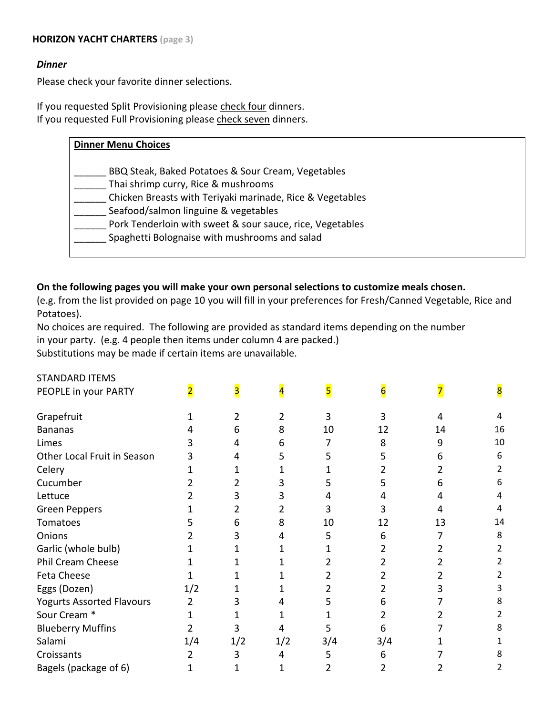## **HORIZON YACHT CHARTERS (page 3)**

### *Dinner*

Please check your favorite dinner selections.

If you requested Split Provisioning please check four dinners. If you requested Full Provisioning please check seven dinners.

| <b>Dinner Menu Choices</b>                                |  |
|-----------------------------------------------------------|--|
| BBQ Steak, Baked Potatoes & Sour Cream, Vegetables        |  |
| Thai shrimp curry, Rice & mushrooms                       |  |
| Chicken Breasts with Teriyaki marinade, Rice & Vegetables |  |
| Seafood/salmon linguine & vegetables                      |  |
| Pork Tenderloin with sweet & sour sauce, rice, Vegetables |  |
| Spaghetti Bolognaise with mushrooms and salad             |  |
|                                                           |  |

### **On the following pages you will make your own personal selections to customize meals chosen.**

(e.g. from the list provided on page 10 you will fill in your preferences for Fresh/Canned Vegetable, Rice and Potatoes).

No choices are required. The following are provided as standard items depending on the number in your party. (e.g. 4 people then items under column 4 are packed.)

Substitutions may be made if certain items are unavailable.

| PEOPLE in your PARTY             | $\overline{\mathbf{2}}$ | 3   |     | 5   | 6   |    | 8  |
|----------------------------------|-------------------------|-----|-----|-----|-----|----|----|
| Grapefruit                       |                         | 2   | 2   | 3   | 3   | 4  |    |
| <b>Bananas</b>                   |                         | 6   | 8   | 10  | 12  | 14 | 16 |
| Limes                            |                         | 4   | 6   |     | 8   | 9  | 10 |
| Other Local Fruit in Season      |                         | 4   | 5   | 5   | 5   | 6  | 6  |
| Celery                           |                         |     |     |     |     |    |    |
| Cucumber                         |                         |     |     | 5   |     | b  | 6  |
| Lettuce                          |                         | 3   | 3   | 4   | 4   | 4  |    |
| <b>Green Peppers</b>             |                         |     |     | 3   |     |    |    |
| Tomatoes                         |                         | 6   | 8   | 10  | 12  | 13 | 14 |
| Onions                           |                         | 3   | 4   | 5   | 6   |    | 8  |
| Garlic (whole bulb)              |                         |     |     |     |     |    |    |
| <b>Phil Cream Cheese</b>         |                         |     |     |     |     |    |    |
| Feta Cheese                      |                         |     |     |     |     |    |    |
| Eggs (Dozen)                     | 1/2                     |     |     |     |     |    |    |
| <b>Yogurts Assorted Flavours</b> | 2                       | 3   |     | 5   | b   |    |    |
| Sour Cream *                     |                         |     |     |     |     |    |    |
| <b>Blueberry Muffins</b>         |                         | 3   |     | 5   | 6   |    |    |
| Salami                           | 1/4                     | 1/2 | 1/2 | 3/4 | 3/4 |    |    |
| Croissants                       |                         | 3   | 4   | 5   | 6   |    |    |
| Bagels (package of 6)            |                         |     |     | 2   |     |    |    |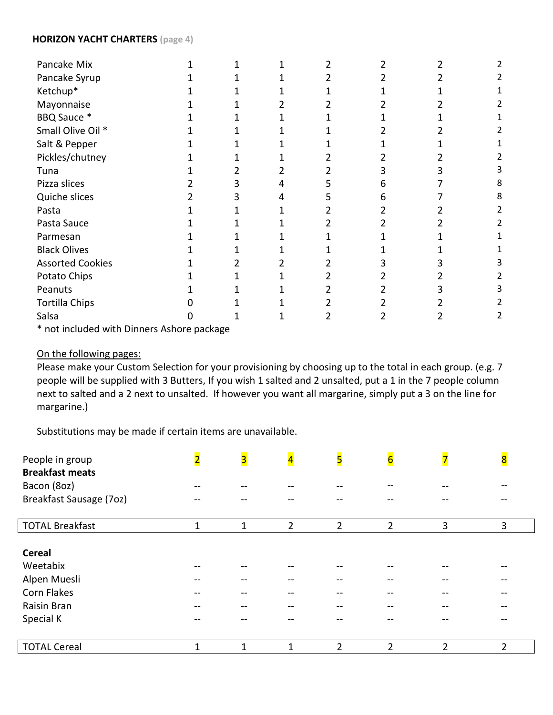### **HORIZON YACHT CHARTERS (page 4)**

| Pancake Mix             |  |  |   |  |
|-------------------------|--|--|---|--|
| Pancake Syrup           |  |  |   |  |
| Ketchup*                |  |  |   |  |
| Mayonnaise              |  |  |   |  |
| BBQ Sauce *             |  |  |   |  |
| Small Olive Oil *       |  |  |   |  |
| Salt & Pepper           |  |  |   |  |
| Pickles/chutney         |  |  |   |  |
| Tuna                    |  |  |   |  |
| Pizza slices            |  |  | n |  |
| Quiche slices           |  |  |   |  |
| Pasta                   |  |  |   |  |
| Pasta Sauce             |  |  |   |  |
| Parmesan                |  |  |   |  |
| <b>Black Olives</b>     |  |  |   |  |
| <b>Assorted Cookies</b> |  |  |   |  |
| Potato Chips            |  |  |   |  |
| Peanuts                 |  |  |   |  |
| <b>Tortilla Chips</b>   |  |  |   |  |
| Salsa                   |  |  |   |  |
| .                       |  |  |   |  |

\* not included with Dinners Ashore package

# On the following pages:

Please make your Custom Selection for your provisioning by choosing up to the total in each group. (e.g. 7 people will be supplied with 3 Butters, If you wish 1 salted and 2 unsalted, put a 1 in the 7 people column next to salted and a 2 next to unsalted. If however you want all margarine, simply put a 3 on the line for margarine.)

Substitutions may be made if certain items are unavailable.

| People in group<br><b>Breakfast meats</b> | $\overline{\mathbf{2}}$ | $\overline{\mathbf{3}}$ | $\overline{\mathbf{4}}$ | 5              | $6 \nvert \nvert$ | $\overline{\mathbf{z}}$ | $\overline{\mathbf{8}}$ |
|-------------------------------------------|-------------------------|-------------------------|-------------------------|----------------|-------------------|-------------------------|-------------------------|
| Bacon (8oz)                               |                         |                         |                         |                |                   |                         |                         |
| Breakfast Sausage (7oz)                   |                         |                         |                         |                |                   |                         |                         |
| <b>TOTAL Breakfast</b>                    | $\mathbf{1}$            | 1                       | $\overline{2}$          | $\overline{2}$ | $\overline{2}$    | 3                       | 3                       |
|                                           |                         |                         |                         |                |                   |                         |                         |
| <b>Cereal</b>                             |                         |                         |                         |                |                   |                         |                         |
| Weetabix                                  |                         |                         |                         |                |                   |                         |                         |
| Alpen Muesli                              |                         |                         |                         |                |                   |                         |                         |
| <b>Corn Flakes</b>                        |                         |                         |                         |                |                   |                         |                         |
| Raisin Bran                               |                         |                         |                         | --             |                   |                         |                         |
| Special K                                 |                         |                         |                         |                |                   |                         |                         |
| <b>TOTAL Cereal</b>                       | 1                       | 1                       | 1                       | $\overline{2}$ | $\overline{2}$    | $\overline{2}$          | 2                       |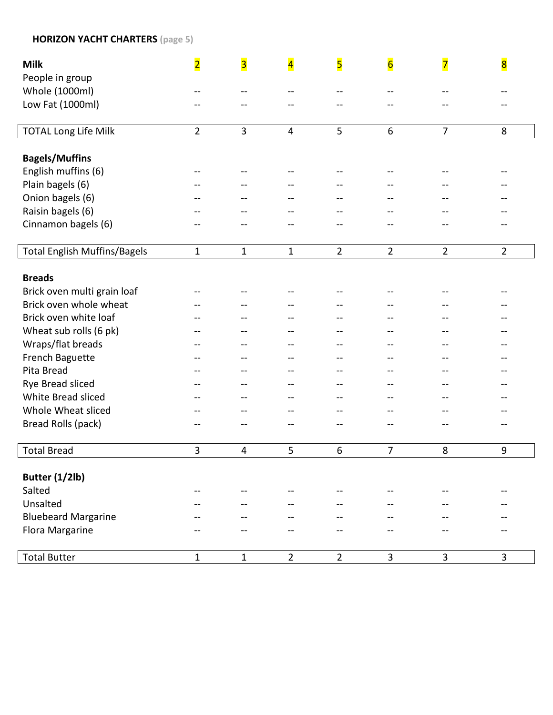## **HORIZON YACHT CHARTERS (page 5 )**

| <b>Milk</b>                         | $\overline{\mathbf{2}}$ | $\overline{\mathbf{3}}$ | $\overline{\mathbf{4}}$ | 5               | $\overline{6}$ | $\overline{\mathbf{z}}$ | $\overline{\mathbf{8}}$ |
|-------------------------------------|-------------------------|-------------------------|-------------------------|-----------------|----------------|-------------------------|-------------------------|
| People in group                     |                         |                         |                         |                 |                |                         |                         |
| Whole (1000ml)                      |                         |                         | --                      |                 |                |                         |                         |
| Low Fat (1000ml)                    |                         |                         |                         |                 |                |                         |                         |
| <b>TOTAL Long Life Milk</b>         | $\overline{2}$          | $\overline{3}$          | $\overline{4}$          | 5               | 6              | $\overline{7}$          | 8                       |
| <b>Bagels/Muffins</b>               |                         |                         |                         |                 |                |                         |                         |
| English muffins (6)                 |                         |                         |                         |                 |                |                         |                         |
| Plain bagels (6)                    |                         |                         |                         |                 |                |                         |                         |
| Onion bagels (6)                    |                         |                         | --                      |                 |                |                         |                         |
| Raisin bagels (6)                   |                         |                         |                         |                 |                |                         |                         |
| Cinnamon bagels (6)                 |                         |                         |                         |                 |                |                         |                         |
| <b>Total English Muffins/Bagels</b> | $\mathbf{1}$            | $\mathbf{1}$            | $\mathbf{1}$            | $\overline{2}$  | $\overline{2}$ | $\overline{2}$          | $\overline{2}$          |
|                                     |                         |                         |                         |                 |                |                         |                         |
| <b>Breads</b>                       |                         |                         |                         |                 |                |                         |                         |
| Brick oven multi grain loaf         |                         |                         |                         |                 |                |                         |                         |
| Brick oven whole wheat              |                         |                         |                         |                 |                |                         |                         |
| Brick oven white loaf               |                         |                         |                         |                 |                |                         |                         |
| Wheat sub rolls (6 pk)              |                         |                         |                         |                 |                |                         |                         |
| Wraps/flat breads                   |                         |                         | --                      |                 |                |                         |                         |
| French Baguette                     |                         |                         | --                      | --              |                |                         |                         |
| Pita Bread                          |                         |                         |                         |                 |                |                         |                         |
| Rye Bread sliced                    |                         |                         |                         |                 |                |                         |                         |
| White Bread sliced                  |                         |                         | --                      |                 |                |                         |                         |
| Whole Wheat sliced                  |                         |                         |                         |                 |                |                         |                         |
| Bread Rolls (pack)                  |                         |                         |                         |                 |                |                         |                         |
| <b>Total Bread</b>                  | 3                       | 4                       | 5                       | $6\phantom{1}6$ | $\overline{7}$ | 8                       | 9                       |
|                                     |                         |                         |                         |                 |                |                         |                         |
| Butter (1/2lb)                      |                         |                         |                         |                 |                |                         |                         |
| Salted                              | --                      |                         |                         |                 |                |                         |                         |
| Unsalted                            |                         |                         |                         |                 |                |                         |                         |
| <b>Bluebeard Margarine</b>          |                         |                         |                         |                 |                |                         |                         |
| Flora Margarine                     |                         |                         |                         |                 |                |                         |                         |
| <b>Total Butter</b>                 | $\mathbf{1}$            | $1\,$                   | $\overline{2}$          | $\overline{2}$  | $\overline{3}$ | 3                       | 3                       |
|                                     |                         |                         |                         |                 |                |                         |                         |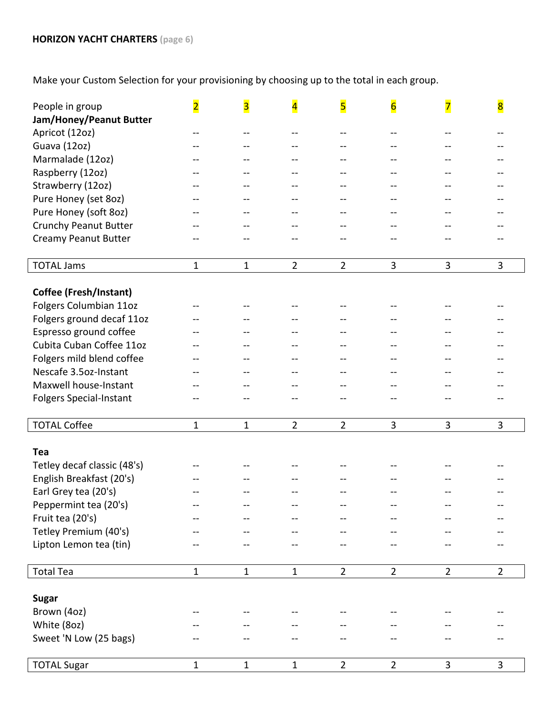Make your Custom Selection for your provisioning by choosing up to the total in each group.

| People in group                | $\overline{\mathbf{2}}$  | $\overline{\mathbf{3}}$ | $\overline{\mathbf{4}}$ | 5              | $6\overline{6}$ | $\overline{\mathbf{z}}$ | $\overline{\mathbf{8}}$ |
|--------------------------------|--------------------------|-------------------------|-------------------------|----------------|-----------------|-------------------------|-------------------------|
| Jam/Honey/Peanut Butter        |                          |                         |                         |                |                 |                         |                         |
| Apricot (12oz)                 | --                       | $-$                     | --                      | $-$            | --              | --                      |                         |
| Guava (12oz)                   |                          |                         |                         |                |                 |                         |                         |
| Marmalade (12oz)               |                          |                         | --                      | --             |                 |                         |                         |
| Raspberry (12oz)               |                          |                         | --                      | --             |                 |                         |                         |
| Strawberry (12oz)              |                          |                         | --                      | --             |                 |                         |                         |
| Pure Honey (set 8oz)           |                          |                         | --                      |                |                 |                         |                         |
| Pure Honey (soft 8oz)          |                          |                         | --                      |                |                 |                         |                         |
| <b>Crunchy Peanut Butter</b>   |                          |                         | --                      | $-$            |                 |                         |                         |
| <b>Creamy Peanut Butter</b>    |                          |                         |                         |                |                 |                         |                         |
|                                |                          |                         |                         |                |                 |                         |                         |
| <b>TOTAL Jams</b>              | 1                        | $\mathbf{1}$            | $\overline{2}$          | $\overline{2}$ | 3               | 3                       | 3                       |
|                                |                          |                         |                         |                |                 |                         |                         |
| <b>Coffee (Fresh/Instant)</b>  |                          |                         |                         |                |                 |                         |                         |
| Folgers Columbian 11oz         | --                       |                         |                         |                |                 |                         |                         |
| Folgers ground decaf 11oz      |                          |                         | --                      |                |                 |                         |                         |
| Espresso ground coffee         |                          |                         |                         | --             |                 |                         |                         |
| Cubita Cuban Coffee 11oz       |                          |                         | --                      | $-$            |                 |                         |                         |
| Folgers mild blend coffee      |                          |                         |                         |                |                 |                         |                         |
| Nescafe 3.5oz-Instant          |                          |                         |                         |                |                 |                         |                         |
| Maxwell house-Instant          |                          |                         | --                      |                |                 |                         |                         |
| <b>Folgers Special-Instant</b> |                          |                         |                         |                |                 |                         |                         |
|                                |                          |                         |                         |                |                 |                         |                         |
| <b>TOTAL Coffee</b>            | $\mathbf{1}$             | $\mathbf{1}$            | $\overline{2}$          | $\overline{2}$ | 3               | 3                       | 3                       |
| Tea                            |                          |                         |                         |                |                 |                         |                         |
| Tetley decaf classic (48's)    |                          |                         |                         |                |                 |                         |                         |
| English Breakfast (20's)       |                          |                         |                         |                |                 |                         |                         |
| Earl Grey tea (20's)           |                          |                         |                         |                |                 |                         |                         |
| Peppermint tea (20's)          | --                       |                         |                         |                |                 |                         |                         |
| Fruit tea (20's)               |                          |                         |                         |                |                 |                         |                         |
| Tetley Premium (40's)          |                          |                         |                         |                |                 |                         |                         |
| Lipton Lemon tea (tin)         | --                       |                         |                         |                |                 |                         |                         |
|                                |                          |                         |                         |                |                 |                         |                         |
| <b>Total Tea</b>               | $\mathbf{1}$             | $\mathbf{1}$            | $\mathbf{1}$            | $\overline{2}$ | $\overline{2}$  | $\overline{2}$          | $\overline{2}$          |
|                                |                          |                         |                         |                |                 |                         |                         |
| <b>Sugar</b>                   |                          |                         |                         |                |                 |                         |                         |
| Brown (4oz)                    | $\overline{\phantom{m}}$ |                         |                         |                |                 |                         |                         |
| White (8oz)                    |                          |                         |                         |                |                 |                         |                         |
| Sweet 'N Low (25 bags)         |                          |                         |                         |                |                 |                         |                         |
|                                |                          |                         |                         |                |                 |                         |                         |
| <b>TOTAL Sugar</b>             | 1                        | $\mathbf{1}$            | 1                       | $\overline{2}$ | $\overline{2}$  | 3                       | 3                       |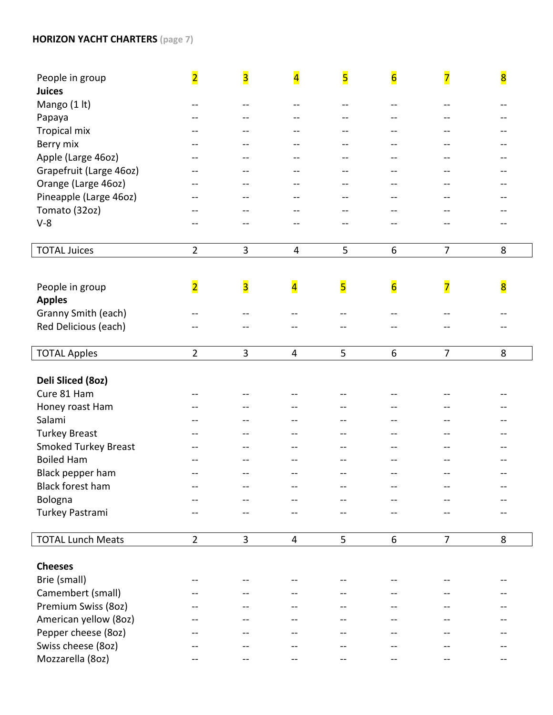### **HORIZON YACHT CHARTERS (page 7 )**

| People in group             | $\overline{\mathbf{2}}$ | $\overline{\mathbf{3}}$ | $\overline{\mathbf{4}}$ | $\overline{\mathbf{5}}$ | $\overline{\mathbf{6}}$ | $\overline{\mathbf{7}}$ | $\overline{\mathbf{8}}$ |
|-----------------------------|-------------------------|-------------------------|-------------------------|-------------------------|-------------------------|-------------------------|-------------------------|
| <b>Juices</b>               |                         |                         |                         |                         |                         |                         |                         |
| Mango (1 lt)                | --                      |                         |                         |                         |                         |                         |                         |
| Papaya                      |                         |                         |                         |                         |                         |                         |                         |
| <b>Tropical mix</b>         |                         |                         |                         |                         |                         |                         |                         |
| Berry mix                   |                         |                         | --                      |                         |                         |                         |                         |
| Apple (Large 46oz)          |                         |                         | --                      |                         |                         |                         |                         |
| Grapefruit (Large 46oz)     |                         |                         |                         |                         |                         |                         |                         |
| Orange (Large 46oz)         |                         |                         | --                      |                         |                         |                         |                         |
| Pineapple (Large 46oz)      |                         |                         | --                      |                         |                         |                         |                         |
| Tomato (32oz)               |                         | --                      | $-$                     |                         |                         |                         |                         |
| $V-8$                       |                         |                         |                         |                         |                         |                         |                         |
|                             |                         |                         |                         |                         |                         |                         |                         |
| <b>TOTAL Juices</b>         | $\overline{2}$          | 3                       | 4                       | 5                       | 6                       | $\overline{7}$          | 8                       |
|                             |                         |                         |                         |                         |                         |                         |                         |
|                             | $\overline{\mathbf{2}}$ | $\overline{\mathbf{3}}$ | $\overline{\mathbf{4}}$ | 5                       | $6\overline{6}$         |                         |                         |
| People in group             |                         |                         |                         |                         |                         | $\overline{\mathbf{Z}}$ | $\overline{\mathbf{8}}$ |
| <b>Apples</b>               |                         |                         |                         |                         |                         |                         |                         |
| Granny Smith (each)         |                         |                         |                         |                         |                         |                         |                         |
| Red Delicious (each)        |                         |                         | --                      |                         |                         |                         |                         |
| <b>TOTAL Apples</b>         | $\overline{2}$          | 3                       | $\overline{4}$          | 5                       | 6                       | $\overline{7}$          | 8                       |
|                             |                         |                         |                         |                         |                         |                         |                         |
| Deli Sliced (80z)           |                         |                         |                         |                         |                         |                         |                         |
| Cure 81 Ham                 |                         |                         |                         |                         |                         |                         |                         |
| Honey roast Ham             |                         |                         |                         |                         |                         |                         |                         |
| Salami                      |                         |                         |                         |                         |                         |                         |                         |
| <b>Turkey Breast</b>        |                         |                         |                         |                         |                         |                         |                         |
| <b>Smoked Turkey Breast</b> |                         |                         |                         |                         |                         |                         |                         |
| <b>Boiled Ham</b>           |                         |                         | --                      | --                      |                         |                         | --                      |
| Black pepper ham            |                         | --                      |                         |                         |                         |                         | --                      |
| Black forest ham            |                         |                         | --                      |                         |                         |                         |                         |
| Bologna                     |                         |                         |                         |                         |                         |                         |                         |
| Turkey Pastrami             |                         |                         |                         |                         |                         |                         |                         |
|                             |                         |                         |                         |                         |                         |                         |                         |
| <b>TOTAL Lunch Meats</b>    | $\overline{2}$          | $\overline{3}$          | $\overline{4}$          | 5                       | 6                       | $\overline{7}$          | 8                       |
| <b>Cheeses</b>              |                         |                         |                         |                         |                         |                         |                         |
|                             |                         |                         |                         |                         |                         |                         |                         |
| Brie (small)                |                         |                         |                         |                         |                         |                         |                         |
| Camembert (small)           |                         |                         |                         |                         |                         |                         |                         |
| Premium Swiss (80z)         |                         |                         |                         |                         |                         |                         |                         |
| American yellow (80z)       |                         |                         |                         |                         |                         |                         |                         |
| Pepper cheese (80z)         |                         |                         |                         |                         |                         |                         |                         |
| Swiss cheese (80z)          |                         |                         |                         |                         |                         |                         |                         |
| Mozzarella (80z)            |                         |                         |                         |                         |                         |                         |                         |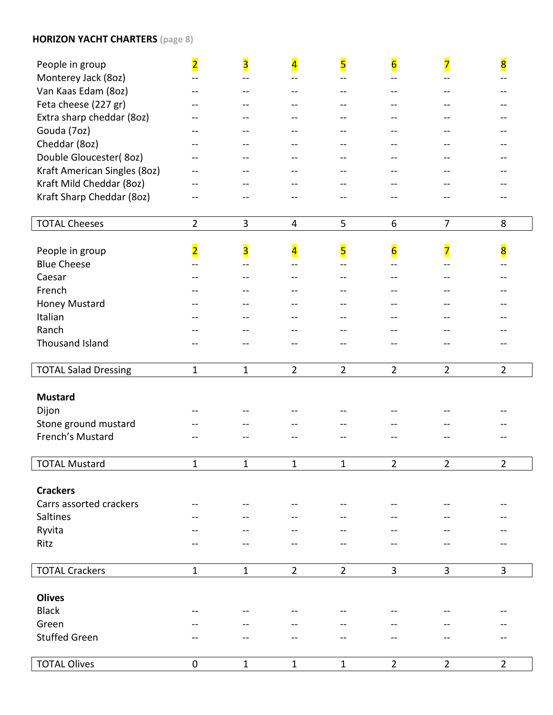## **HORIZON YACHT CHARTERS (page 8 )**

| People in group              | $\overline{\mathbf{2}}$ | $\overline{\mathbf{3}}$ | $\overline{\mathbf{4}}$ | $\overline{\mathbf{5}}$ | $6\overline{6}$         | $\overline{\mathbf{7}}$ | $\overline{\mathbf{8}}$               |
|------------------------------|-------------------------|-------------------------|-------------------------|-------------------------|-------------------------|-------------------------|---------------------------------------|
| Monterey Jack (80z)          | --                      |                         | $-$                     | --                      |                         |                         |                                       |
| Van Kaas Edam (80z)          | --                      |                         | --                      | --                      | --                      |                         |                                       |
| Feta cheese (227 gr)         |                         |                         |                         |                         |                         |                         |                                       |
| Extra sharp cheddar (80z)    |                         |                         |                         |                         |                         |                         |                                       |
| Gouda (7oz)                  | --                      |                         | --                      |                         |                         |                         |                                       |
| Cheddar (8oz)                | --                      |                         | --                      | --                      |                         |                         |                                       |
| Double Gloucester(80z)       |                         |                         |                         |                         |                         |                         |                                       |
| Kraft American Singles (80z) |                         |                         |                         |                         |                         |                         |                                       |
| Kraft Mild Cheddar (80z)     |                         |                         |                         |                         |                         |                         |                                       |
| Kraft Sharp Cheddar (80z)    |                         |                         |                         |                         |                         |                         |                                       |
|                              |                         |                         |                         |                         |                         |                         |                                       |
| <b>TOTAL Cheeses</b>         | $\overline{2}$          | $\overline{3}$          | $\overline{4}$          | 5                       | 6                       | $\overline{7}$          | 8                                     |
|                              |                         |                         |                         |                         |                         |                         |                                       |
| People in group              | $\overline{\mathbf{2}}$ | $\overline{\mathbf{3}}$ | $\overline{\mathbf{4}}$ | 5                       | $\overline{\mathbf{6}}$ | $\overline{\mathbf{z}}$ | 8                                     |
| <b>Blue Cheese</b>           |                         |                         |                         |                         |                         |                         |                                       |
| Caesar                       |                         |                         |                         |                         |                         |                         |                                       |
| French                       |                         |                         |                         |                         |                         |                         |                                       |
| <b>Honey Mustard</b>         |                         |                         |                         |                         |                         |                         |                                       |
| Italian                      |                         |                         |                         |                         |                         |                         |                                       |
| Ranch                        |                         |                         |                         |                         |                         |                         |                                       |
| Thousand Island              |                         |                         |                         |                         |                         |                         |                                       |
|                              | $\mathbf{1}$            | $\mathbf{1}$            | $\overline{2}$          | $\overline{2}$          | $\overline{2}$          | $\overline{2}$          | $\overline{2}$                        |
| <b>TOTAL Salad Dressing</b>  |                         |                         |                         |                         |                         |                         |                                       |
| <b>Mustard</b>               |                         |                         |                         |                         |                         |                         |                                       |
| Dijon                        |                         |                         |                         |                         |                         |                         |                                       |
| Stone ground mustard         |                         |                         |                         |                         |                         |                         |                                       |
| French's Mustard             |                         |                         |                         |                         |                         |                         |                                       |
|                              |                         |                         |                         |                         |                         |                         |                                       |
| <b>TOTAL Mustard</b>         | 1                       | 1                       | 1                       | 1                       | 2                       | $\overline{2}$          | $\overline{2}$                        |
|                              |                         |                         |                         |                         |                         |                         |                                       |
| <b>Crackers</b>              |                         |                         |                         |                         |                         |                         |                                       |
| Carrs assorted crackers      | --                      |                         |                         | $-$                     |                         |                         | $\hspace{0.05cm}$ – $\hspace{0.05cm}$ |
| Saltines                     |                         |                         |                         |                         |                         |                         |                                       |
| Ryvita                       |                         |                         |                         |                         |                         |                         |                                       |
| Ritz                         |                         |                         |                         |                         |                         |                         |                                       |
|                              | $\mathbf{1}$            | $\mathbf{1}$            | $\overline{2}$          | $\overline{2}$          | 3                       | 3                       | 3                                     |
| <b>TOTAL Crackers</b>        |                         |                         |                         |                         |                         |                         |                                       |
| <b>Olives</b>                |                         |                         |                         |                         |                         |                         |                                       |
| <b>Black</b>                 |                         |                         |                         |                         |                         |                         |                                       |
| Green                        |                         |                         |                         |                         |                         |                         |                                       |
| <b>Stuffed Green</b>         |                         |                         |                         |                         |                         |                         |                                       |
|                              |                         |                         |                         |                         |                         |                         |                                       |
| <b>TOTAL Olives</b>          | $\pmb{0}$               | $\mathbf{1}$            | $\mathbf{1}$            | $\mathbf{1}$            | $\overline{2}$          | $\overline{2}$          | $\overline{2}$                        |